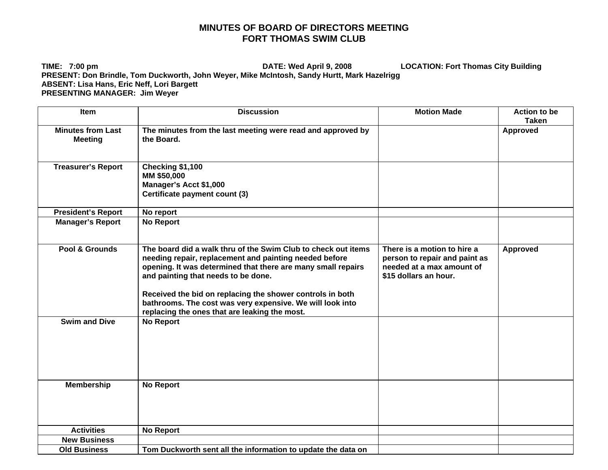## **MINUTES OF BOARD OF DIRECTORS MEETING FORT THOMAS SWIM CLUB**

**TIME: 7:00 pm DATE: Wed April 9, 2008 LOCATION: Fort Thomas City Building PRESENT: Don Brindle, Tom Duckworth, John Weyer, Mike McIntosh, Sandy Hurtt, Mark Hazelrigg ABSENT: Lisa Hans, Eric Neff, Lori Bargett PRESENTING MANAGER: Jim Weyer** 

| Item                      | <b>Discussion</b>                                                                                                                                                                                                                                                                           | <b>Motion Made</b>                                                                                                 | <b>Action to be</b><br><b>Taken</b> |
|---------------------------|---------------------------------------------------------------------------------------------------------------------------------------------------------------------------------------------------------------------------------------------------------------------------------------------|--------------------------------------------------------------------------------------------------------------------|-------------------------------------|
| <b>Minutes from Last</b>  | The minutes from the last meeting were read and approved by                                                                                                                                                                                                                                 |                                                                                                                    | <b>Approved</b>                     |
| <b>Meeting</b>            | the Board.                                                                                                                                                                                                                                                                                  |                                                                                                                    |                                     |
| <b>Treasurer's Report</b> | Checking \$1,100<br>MM \$50,000                                                                                                                                                                                                                                                             |                                                                                                                    |                                     |
|                           | Manager's Acct \$1,000                                                                                                                                                                                                                                                                      |                                                                                                                    |                                     |
|                           | Certificate payment count (3)                                                                                                                                                                                                                                                               |                                                                                                                    |                                     |
| <b>President's Report</b> | No report                                                                                                                                                                                                                                                                                   |                                                                                                                    |                                     |
| <b>Manager's Report</b>   | <b>No Report</b>                                                                                                                                                                                                                                                                            |                                                                                                                    |                                     |
| Pool & Grounds            | The board did a walk thru of the Swim Club to check out items<br>needing repair, replacement and painting needed before<br>opening. It was determined that there are many small repairs<br>and painting that needs to be done.<br>Received the bid on replacing the shower controls in both | There is a motion to hire a<br>person to repair and paint as<br>needed at a max amount of<br>\$15 dollars an hour. | <b>Approved</b>                     |
|                           | bathrooms. The cost was very expensive. We will look into<br>replacing the ones that are leaking the most.                                                                                                                                                                                  |                                                                                                                    |                                     |
| <b>Swim and Dive</b>      | <b>No Report</b>                                                                                                                                                                                                                                                                            |                                                                                                                    |                                     |
| <b>Membership</b>         | <b>No Report</b>                                                                                                                                                                                                                                                                            |                                                                                                                    |                                     |
| <b>Activities</b>         | <b>No Report</b>                                                                                                                                                                                                                                                                            |                                                                                                                    |                                     |
| <b>New Business</b>       |                                                                                                                                                                                                                                                                                             |                                                                                                                    |                                     |
| <b>Old Business</b>       | Tom Duckworth sent all the information to update the data on                                                                                                                                                                                                                                |                                                                                                                    |                                     |